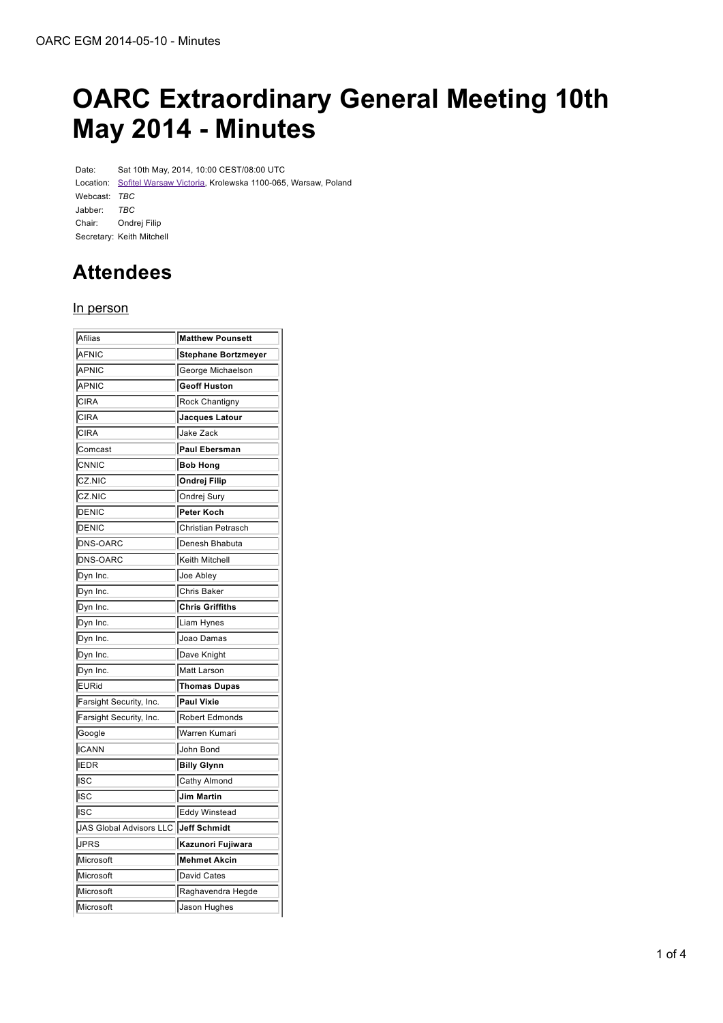# **OARC Extraordinary General Meeting 10th May 2014 - Minutes**

Date: Sat 10th May, 2014, 10:00 CEST/08:00 UTC Location: Sofitel Warsaw Victoria, Krolewska 1100-065, Warsaw, Poland Webcast: *TBC* Jabber: *TBC* Chair: Ondrej Filip Secretary: Keith Mitchell

## **Attendees**

#### In person

| Afilias                              | <b>Matthew Pounsett</b> |
|--------------------------------------|-------------------------|
| AFNIC                                | Stephane Bortzmeyer     |
| APNIC                                | George Michaelson       |
| APNIC                                | Geoff Huston            |
| <b>CIRA</b>                          | <b>Rock Chantigny</b>   |
| CIRA                                 | Jacques Latour          |
| CIRA                                 | Jake Zack               |
| Comcast                              | <b>Paul Ebersman</b>    |
| CNNIC                                | <b>Bob Hong</b>         |
| CZ.NIC                               | Ondrej Filip            |
| CZ.NIC                               | Ondrej Sury             |
| DENIC                                | Peter Koch              |
| DENIC                                | Christian Petrasch      |
| DNS-OARC                             | Denesh Bhabuta          |
| DNS-OARC                             | Keith Mitchell          |
| Dyn Inc.                             | Joe Abley               |
| Dyn Inc.                             | Chris Baker             |
| Dyn Inc.                             | <b>Chris Griffiths</b>  |
| Dyn Inc.                             | Liam Hynes              |
| Dyn Inc.                             | Joao Damas              |
| Dyn Inc.                             | Dave Knight             |
| Dyn Inc.                             | Matt Larson             |
| <b>EURid</b>                         | <b>Thomas Dupas</b>     |
| Farsight Security, Inc.              | <b>Paul Vixie</b>       |
| Farsight Security, Inc.              | Robert Edmonds          |
| Google                               | Warren Kumari           |
| <b>ICANN</b>                         | John Bond               |
| <b>IEDR</b>                          | <b>Billy Glynn</b>      |
| ∣ısc                                 | Cathy Almond            |
| ∣ısc                                 | <b>Jim Martin</b>       |
| ∣ısc                                 | Eddy Winstead           |
| JAS Global Advisors LLC Jeff Schmidt |                         |
| <b>JPRS</b>                          | Kazunori Fujiwara       |
| Microsoft                            | <b>Mehmet Akcin</b>     |
| Microsoft                            | David Cates             |
| Microsoft                            | Raghavendra Hegde       |
| Microsoft                            | Jason Hughes            |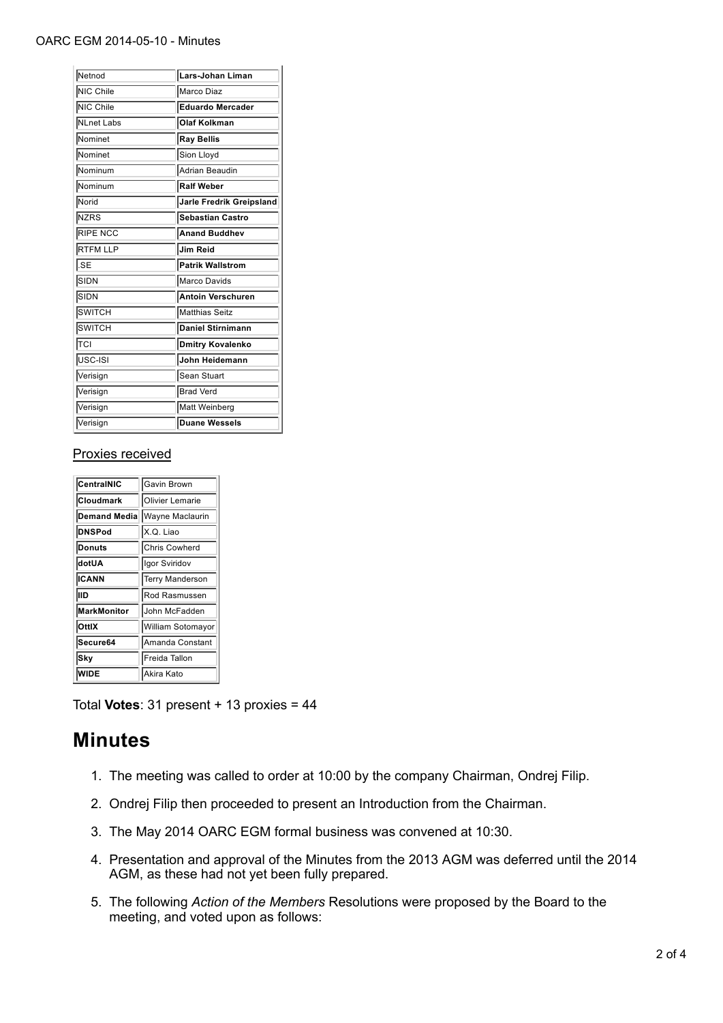#### OARC EGM 2014-05-10 - Minutes

| Netnod          | Lars-Johan Liman         |
|-----------------|--------------------------|
| NIC Chile       | Marco Diaz               |
| NIC Chile       | <b>Eduardo Mercader</b>  |
| NLnet Labs      | <b>Olaf Kolkman</b>      |
| Nominet         | <b>Ray Bellis</b>        |
| Nominet         | Sion Lloyd               |
| Nominum         | Adrian Beaudin           |
| Nominum         | <b>Ralf Weber</b>        |
| Norid           | Jarle Fredrik Greipsland |
| <b>NZRS</b>     | <b>Sebastian Castro</b>  |
| <b>RIPE NCC</b> | Anand Buddhev            |
| <b>RTFM LLP</b> | Jim Reid                 |
| l.SE            | Patrik Wallstrom         |
| SIDN            | Marco Davids             |
| SIDN            | <b>Antoin Verschuren</b> |
| <b>SWITCH</b>   | Matthias Seitz           |
| <b>SWITCH</b>   | Daniel Stirnimann        |
| TCI             | Dmitry Kovalenko         |
| USC-ISI         | John Heidemann           |
| Verisign        | Sean Stuart              |
| Verisign        | <b>Brad Verd</b>         |
| Verisign        | Matt Weinberg            |
| Verisign        | Duane Wessels            |

#### Proxies received

| CentralNIC          | Gavin Brown            |
|---------------------|------------------------|
| <b>Cloudmark</b>    | <b>Olivier Lemarie</b> |
| <b>Demand Media</b> | Wayne Maclaurin        |
| <b>DNSPod</b>       | X.Q. Liao              |
| Donuts              | Chris Cowherd          |
| dotUA               | Igor Sviridov          |
| <b>ICANN</b>        | Terry Manderson        |
| llid                | Rod Rasmussen          |
| <b>MarkMonitor</b>  | John McFadden          |
| <b>OttlX</b>        | William Sotomayor      |
| Secure64            | Amanda Constant        |
| <b>Sky</b>          | Freida Tallon          |
| WIDE                | Akira Kato             |

Total **Votes**: 31 present + 13 proxies = 44

### **Minutes**

- 1. The meeting was called to order at 10:00 by the company Chairman, Ondrej Filip.
- 2. Ondrej Filip then proceeded to present an Introduction from the Chairman.
- 3. The May 2014 OARC EGM formal business was convened at 10:30.
- 4. Presentation and approval of the Minutes from the 2013 AGM was deferred until the 2014 AGM, as these had not yet been fully prepared.
- 5. The following Action of the Members Resolutions were proposed by the Board to the meeting, and voted upon as follows: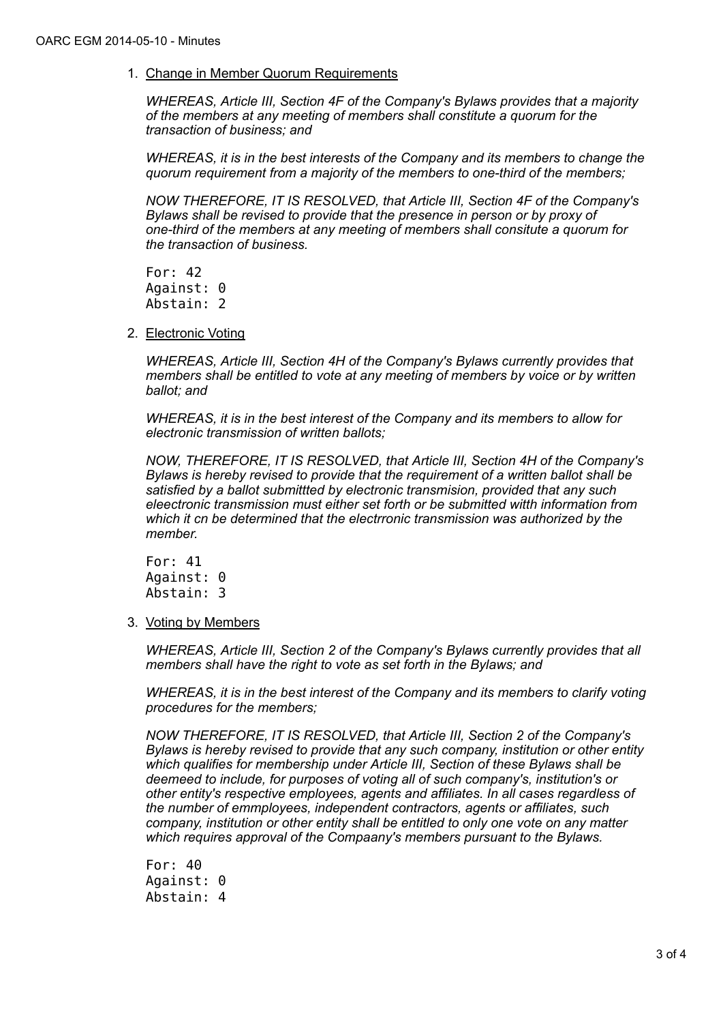1. Change in Member Quorum Requirements

*WHEREAS, Article III, Section 4F of the Company's Bylaws provides that a majority of the members at any meeting of members shall constitute a quorum for the transaction of business; and*

*WHEREAS, it is in the best interests of the Company and its members to change the quorum requirement from a majority of the members to one-third of the members;*

*NOW THEREFORE, IT IS RESOLVED, that Article III, Section 4F of the Company's Bylaws shall be revised to provide that the presence in person or by proxy of one-third of the members at any meeting of members shall consitute a quorum for the transaction of business.*

For: 42 Against: 0 Abstain: 2

2. Electronic Voting

*WHEREAS, Article III, Section 4H of the Company's Bylaws currently provides that members shall be entitled to vote at any meeting of members by voice or by written ballot; and*

*WHEREAS, it is in the best interest of the Company and its members to allow for electronic transmission of written ballots;*

*NOW, THEREFORE, IT IS RESOLVED, that Article III, Section 4H of the Company's Bylaws is hereby revised to provide that the requirement of a written ballot shall be satisfied by a ballot submittted by electronic transmision, provided that any such eleectronic transmission must either set forth or be submitted witth information from which it cn be determined that the electrronic transmission was authorized by the member.*

For: 41 Against: 0 Abstain: 3

3. Voting by Members

*WHEREAS, Article III, Section 2 of the Company's Bylaws currently provides that all members shall have the right to vote as set forth in the Bylaws; and*

*WHEREAS, it is in the best interest of the Company and its members to clarify voting procedures for the members;*

*NOW THEREFORE, IT IS RESOLVED, that Article III, Section 2 of the Company's Bylaws is hereby revised to provide that any such company, institution or other entity which qualifies for membership under Article III, Section of these Bylaws shall be deemeed to include, for purposes of voting all of such company's, institution's or other entity's respective employees, agents and affiliates. In all cases regardless of the number of emmployees, independent contractors, agents or affiliates, such company, institution or other entity shall be entitled to only one vote on any matter which requires approval of the Compaany's members pursuant to the Bylaws.*

For: 40 Against: 0 Abstain: 4